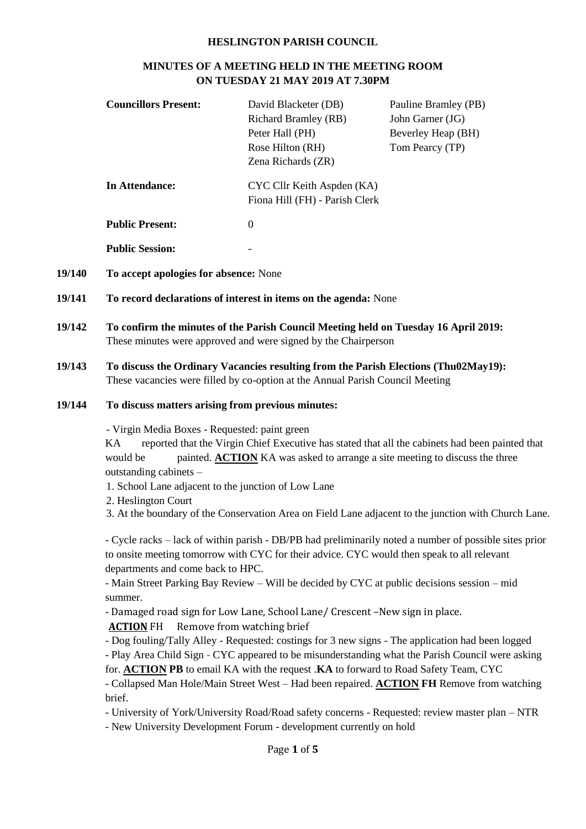### **HESLINGTON PARISH COUNCIL**

# **MINUTES OF A MEETING HELD IN THE MEETING ROOM ON TUESDAY 21 MAY 2019 AT 7.30PM**

| <b>Councillors Present:</b> | David Blacketer (DB)                                         | Pauline Bramley (PB) |
|-----------------------------|--------------------------------------------------------------|----------------------|
|                             | <b>Richard Bramley (RB)</b>                                  | John Garner (JG)     |
|                             | Peter Hall (PH)                                              | Beverley Heap (BH)   |
|                             | Rose Hilton (RH)                                             | Tom Pearcy (TP)      |
|                             | Zena Richards (ZR)                                           |                      |
| In Attendance:              | CYC Cllr Keith Aspden (KA)<br>Fiona Hill (FH) - Parish Clerk |                      |
| <b>Public Present:</b>      | $\theta$                                                     |                      |
| <b>Public Session:</b>      |                                                              |                      |

- **19/140 To accept apologies for absence:** None
- **19/141 To record declarations of interest in items on the agenda:** None
- **19/142 To confirm the minutes of the Parish Council Meeting held on Tuesday 16 April 2019:** These minutes were approved and were signed by the Chairperson
- **19/143 To discuss the Ordinary Vacancies resulting from the Parish Elections (Thu02May19):** These vacancies were filled by co-option at the Annual Parish Council Meeting

### **19/144 To discuss matters arising from previous minutes:**

- Virgin Media Boxes - Requested: paint green

KA reported that the Virgin Chief Executive has stated that all the cabinets had been painted that would be painted. **ACTION** KA was asked to arrange a site meeting to discuss the three outstanding cabinets –

- 1. School Lane adjacent to the junction of Low Lane
- 2. Heslington Court

3. At the boundary of the Conservation Area on Field Lane adjacent to the junction with Church Lane.

- Cycle racks – lack of within parish - DB/PB had preliminarily noted a number of possible sites prior to onsite meeting tomorrow with CYC for their advice. CYC would then speak to all relevant departments and come back to HPC.

- Main Street Parking Bay Review – Will be decided by CYC at public decisions session – mid summer.

- Damaged road sign for Low Lane, School Lane/ Crescent –New sign in place.

**ACTION** FH Remove from watching brief

- Dog fouling/Tally Alley - Requested: costings for 3 new signs - The application had been logged - Play Area Child Sign - CYC appeared to be misunderstanding what the Parish Council were asking

for. **ACTION PB** to email KA with the request .**KA** to forward to Road Safety Team, CYC

- Collapsed Man Hole/Main Street West – Had been repaired. **ACTION FH** Remove from watching brief.

- University of York/University Road/Road safety concerns - Requested: review master plan – NTR

- New University Development Forum - development currently on hold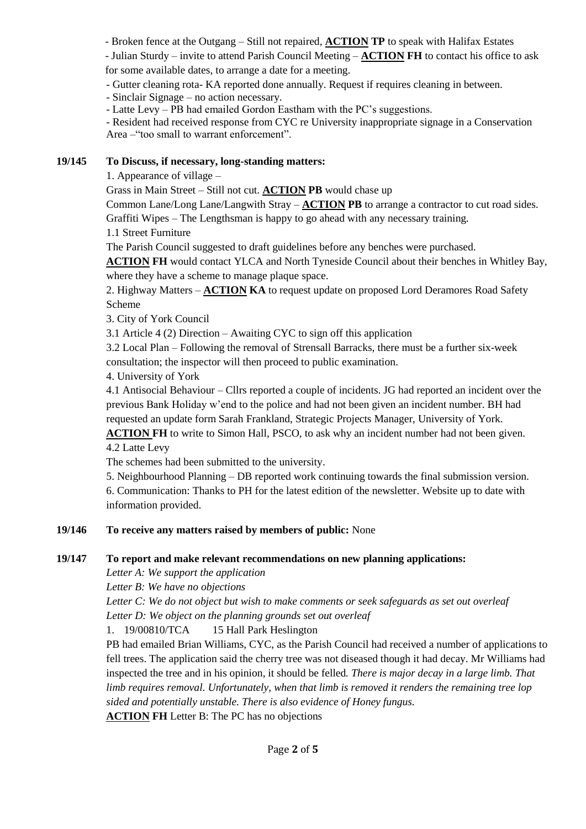- Broken fence at the Outgang – Still not repaired, **ACTION TP** to speak with Halifax Estates

- Julian Sturdy – invite to attend Parish Council Meeting – **ACTION FH** to contact his office to ask for some available dates, to arrange a date for a meeting.

- Gutter cleaning rota- KA reported done annually. Request if requires cleaning in between.

- Sinclair Signage – no action necessary.

- Latte Levy – PB had emailed Gordon Eastham with the PC's suggestions.

- Resident had received response from CYC re University inappropriate signage in a Conservation Area –"too small to warrant enforcement".

# **19/145 To Discuss, if necessary, long-standing matters:**

1. Appearance of village –

Grass in Main Street – Still not cut. **ACTION PB** would chase up

Common Lane/Long Lane/Langwith Stray – **ACTION PB** to arrange a contractor to cut road sides. Graffiti Wipes – The Lengthsman is happy to go ahead with any necessary training.

1.1 Street Furniture

The Parish Council suggested to draft guidelines before any benches were purchased.

**ACTION FH** would contact YLCA and North Tyneside Council about their benches in Whitley Bay, where they have a scheme to manage plaque space.

2. Highway Matters – **ACTION KA** to request update on proposed Lord Deramores Road Safety Scheme

3. City of York Council

3.1 Article 4 (2) Direction – Awaiting CYC to sign off this application

3.2 Local Plan – Following the removal of Strensall Barracks, there must be a further six-week consultation; the inspector will then proceed to public examination.

4. University of York

4.1 Antisocial Behaviour – Cllrs reported a couple of incidents. JG had reported an incident over the previous Bank Holiday w'end to the police and had not been given an incident number. BH had requested an update form Sarah Frankland, Strategic Projects Manager, University of York.

**ACTION FH** to write to Simon Hall, PSCO, to ask why an incident number had not been given. 4.2 Latte Levy

The schemes had been submitted to the university.

5. Neighbourhood Planning – DB reported work continuing towards the final submission version. 6. Communication: Thanks to PH for the latest edition of the newsletter. Website up to date with information provided.

# **19/146 To receive any matters raised by members of public:** None

# **19/147 To report and make relevant recommendations on new planning applications:**

*Letter A: We support the application*

*Letter B: We have no objections*

*Letter C: We do not object but wish to make comments or seek safeguards as set out overleaf Letter D: We object on the planning grounds set out overleaf*

1. 19/00810/TCA 15 Hall Park Heslington

PB had emailed Brian Williams, CYC, as the Parish Council had received a number of applications to fell trees. The application said the cherry tree was not diseased though it had decay. Mr Williams had inspected the tree and in his opinion, it should be felled*. There is major decay in a large limb. That limb requires removal. Unfortunately, when that limb is removed it renders the remaining tree lop sided and potentially unstable. There is also evidence of Honey fungus.* 

**ACTION FH** Letter B: The PC has no objections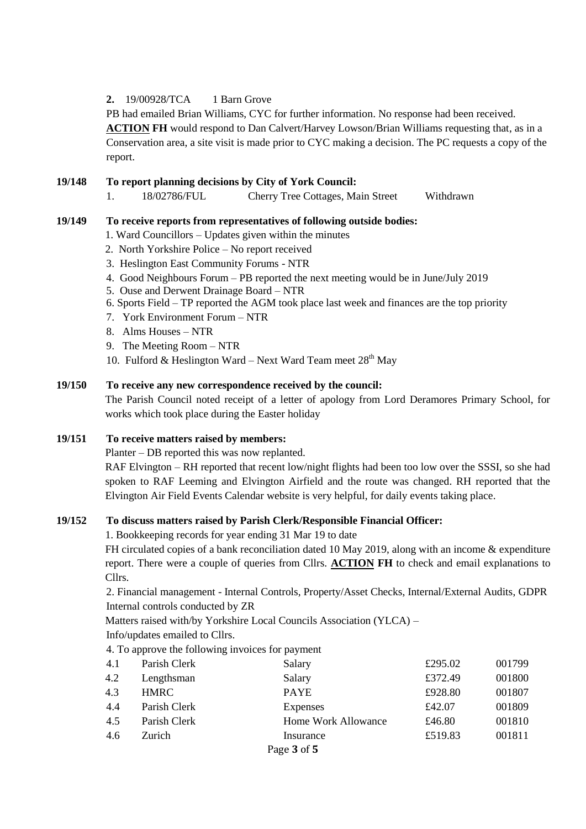## **2.** 19/00928/TCA 1 Barn Grove

PB had emailed Brian Williams, CYC for further information. No response had been received. **ACTION FH** would respond to Dan Calvert/Harvey Lowson/Brian Williams requesting that, as in a Conservation area, a site visit is made prior to CYC making a decision. The PC requests a copy of the report.

## **19/148 To report planning decisions by City of York Council:**

1. 18/02786/FUL Cherry Tree Cottages, Main Street Withdrawn

### **19/149 To receive reports from representatives of following outside bodies:**

1. Ward Councillors – Updates given within the minutes

- 2. North Yorkshire Police No report received
- 3. Heslington East Community Forums NTR
- 4. Good Neighbours Forum PB reported the next meeting would be in June/July 2019
- 5. Ouse and Derwent Drainage Board NTR
- 6. Sports Field TP reported the AGM took place last week and finances are the top priority
- 7. York Environment Forum NTR
- 8. Alms Houses NTR
- 9. The Meeting Room NTR
- 10. Fulford & Heslington Ward Next Ward Team meet  $28<sup>th</sup>$  May

### **19/150 To receive any new correspondence received by the council:**

The Parish Council noted receipt of a letter of apology from Lord Deramores Primary School, for works which took place during the Easter holiday

#### **19/151 To receive matters raised by members:**

Planter – DB reported this was now replanted.

RAF Elvington – RH reported that recent low/night flights had been too low over the SSSI, so she had spoken to RAF Leeming and Elvington Airfield and the route was changed. RH reported that the Elvington Air Field Events Calendar website is very helpful, for daily events taking place.

## **19/152 To discuss matters raised by Parish Clerk/Responsible Financial Officer:**

1. Bookkeeping records for year ending 31 Mar 19 to date

FH circulated copies of a bank reconciliation dated 10 May 2019, along with an income & expenditure report. There were a couple of queries from Cllrs. **ACTION FH** to check and email explanations to Cllrs.

2. Financial management - Internal Controls, Property/Asset Checks, Internal/External Audits, GDPR Internal controls conducted by ZR

Matters raised with/by Yorkshire Local Councils Association (YLCA) – Info/updates emailed to Cllrs.

4. To approve the following invoices for payment

| 4.1 | Parish Clerk | Salary              | £295.02 | 001799 |
|-----|--------------|---------------------|---------|--------|
| 4.2 | Lengthsman   | Salary              | £372.49 | 001800 |
| 4.3 | <b>HMRC</b>  | <b>PAYE</b>         | £928.80 | 001807 |
| 4.4 | Parish Clerk | <b>Expenses</b>     | £42.07  | 001809 |
| 4.5 | Parish Clerk | Home Work Allowance | £46.80  | 001810 |
| 4.6 | Zurich       | Insurance           | £519.83 | 001811 |
|     |              | Page 3 of 5         |         |        |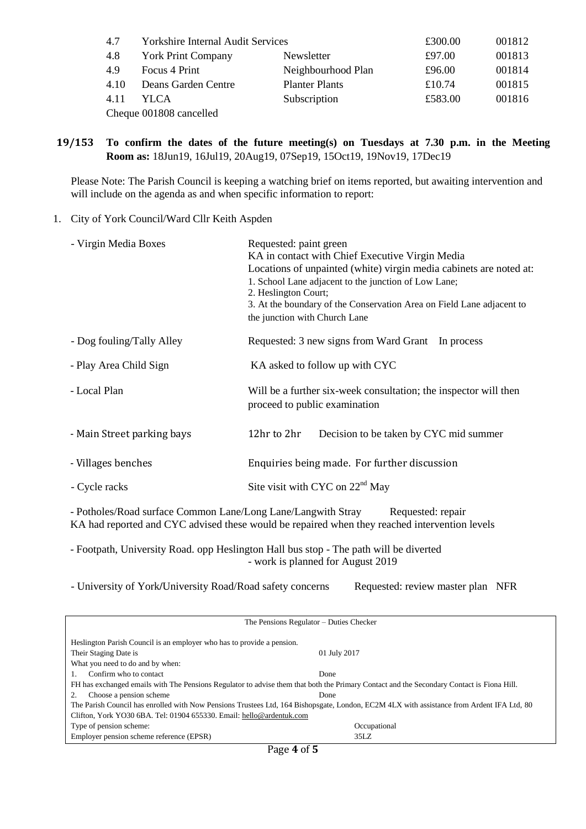| 4.7  | <b>Yorkshire Internal Audit Services</b> |                       | £300.00 | 001812 |
|------|------------------------------------------|-----------------------|---------|--------|
| 4.8  | <b>York Print Company</b>                | Newsletter            | £97.00  | 001813 |
| 4.9  | Focus 4 Print                            | Neighbourhood Plan    | £96.00  | 001814 |
| 4.10 | Deans Garden Centre                      | <b>Planter Plants</b> | £10.74  | 001815 |
| 4.11 | <b>YLCA</b>                              | Subscription          | £583.00 | 001816 |
|      | Cheque 001808 cancelled                  |                       |         |        |

**19/153 To confirm the dates of the future meeting(s) on Tuesdays at 7.30 p.m. in the Meeting Room as:** 18Jun19, 16Jul19, 20Aug19, 07Sep19, 15Oct19, 19Nov19, 17Dec19

Please Note: The Parish Council is keeping a watching brief on items reported, but awaiting intervention and will include on the agenda as and when specific information to report:

#### 1. City of York Council/Ward Cllr Keith Aspden

| - Virgin Media Boxes       | Requested: paint green<br>KA in contact with Chief Executive Virgin Media<br>Locations of unpainted (white) virgin media cabinets are noted at:<br>1. School Lane adjacent to the junction of Low Lane;<br>2. Heslington Court;<br>3. At the boundary of the Conservation Area on Field Lane adjacent to<br>the junction with Church Lane |  |  |
|----------------------------|-------------------------------------------------------------------------------------------------------------------------------------------------------------------------------------------------------------------------------------------------------------------------------------------------------------------------------------------|--|--|
| - Dog fouling/Tally Alley  | Requested: 3 new signs from Ward Grant In process                                                                                                                                                                                                                                                                                         |  |  |
| - Play Area Child Sign     | KA asked to follow up with CYC                                                                                                                                                                                                                                                                                                            |  |  |
| - Local Plan               | Will be a further six-week consultation; the inspector will then<br>proceed to public examination                                                                                                                                                                                                                                         |  |  |
| - Main Street parking bays | 12hr to 2hr<br>Decision to be taken by CYC mid summer                                                                                                                                                                                                                                                                                     |  |  |
| - Villages benches         | Enquiries being made. For further discussion                                                                                                                                                                                                                                                                                              |  |  |
| - Cycle racks              | Site visit with CYC on 22 <sup>nd</sup> May                                                                                                                                                                                                                                                                                               |  |  |

- Potholes/Road surface Common Lane/Long Lane/Langwith Stray Requested: repair KA had reported and CYC advised these would be repaired when they reached intervention levels

- Footpath, University Road. opp Heslington Hall bus stop - The path will be diverted - work is planned for August 2019

- University of York/University Road/Road safety concerns Requested: review master plan NFR

| The Pensions Regulator – Duties Checker                                                                                                   |              |  |
|-------------------------------------------------------------------------------------------------------------------------------------------|--------------|--|
|                                                                                                                                           |              |  |
| Heslington Parish Council is an employer who has to provide a pension.                                                                    |              |  |
| Their Staging Date is                                                                                                                     | 01 July 2017 |  |
| What you need to do and by when:                                                                                                          |              |  |
| Confirm who to contact                                                                                                                    | Done         |  |
| FH has exchanged emails with The Pensions Regulator to advise them that both the Primary Contact and the Secondary Contact is Fiona Hill. |              |  |
| Choose a pension scheme.<br>2.                                                                                                            | Done         |  |
| The Parish Council has enrolled with Now Pensions Trustees Ltd, 164 Bishopsgate, London, EC2M 4LX with assistance from Ardent IFA Ltd, 80 |              |  |
| Clifton, York YO30 6BA. Tel: 01904 655330. Email: hello@ardentuk.com                                                                      |              |  |
| Type of pension scheme:                                                                                                                   | Occupational |  |
| Employer pension scheme reference (EPSR)                                                                                                  | 35LZ         |  |